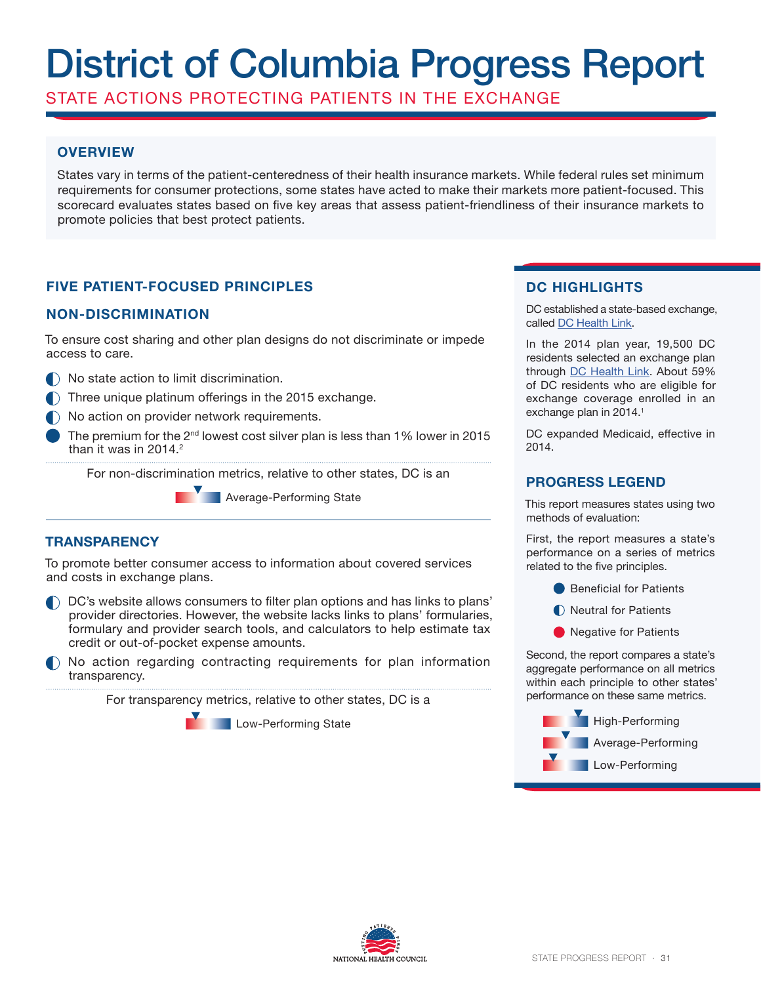# District of Columbia Progress Report

STATE ACTIONS PROTECTING PATIENTS IN THE EXCHANGE

## **OVERVIEW**

States vary in terms of the patient-centeredness of their health insurance markets. While federal rules set minimum requirements for consumer protections, some states have acted to make their markets more patient-focused. This scorecard evaluates states based on five key areas that assess patient-friendliness of their insurance markets to promote policies that best protect patients.

# **FIVE PATIENT-FOCUSED PRINCIPLES**

### **NON-DISCRIMINATION**

To ensure cost sharing and other plan designs do not discriminate or impede access to care.

- $\bigcap$  No state action to limit discrimination.
- $\bigcap$  Three unique platinum offerings in the 2015 exchange.
- $\bigcap$  No action on provider network requirements.
- The premium for the  $2^{nd}$  lowest cost silver plan is less than 1% lower in 2015 than it was in  $2014.<sup>2</sup>$

For non-discrimination metrics, relative to other states, DC is an

**Average-Performing State** 

### **TRANSPARENCY**

To promote better consumer access to information about covered services and costs in exchange plans.

- DC's website allows consumers to filter plan options and has links to plans' provider directories. However, the website lacks links to plans' formularies, formulary and provider search tools, and calculators to help estimate tax credit or out-of-pocket expense amounts.
- No action regarding contracting requirements for plan information transparency.

For transparency metrics, relative to other states, DC is a

**Low-Performing State** 

## **DC HIGHLIGHTS**

DC established a state-based exchange, called DC Health Link.

In the 2014 plan year, 19,500 DC residents selected an exchange plan through DC Health Link. About 59% of DC residents who are eligible for exchange coverage enrolled in an exchange plan in 2014.<sup>1</sup>

DC expanded Medicaid, effective in 2014.

#### **PROGRESS LEGEND**

This report measures states using two methods of evaluation:

First, the report measures a state's performance on a series of metrics related to the five principles.

- **Beneficial for Patients**
- Neutral for Patients
- **O** Negative for Patients

Second, the report compares a state's aggregate performance on all metrics within each principle to other states' performance on these same metrics.